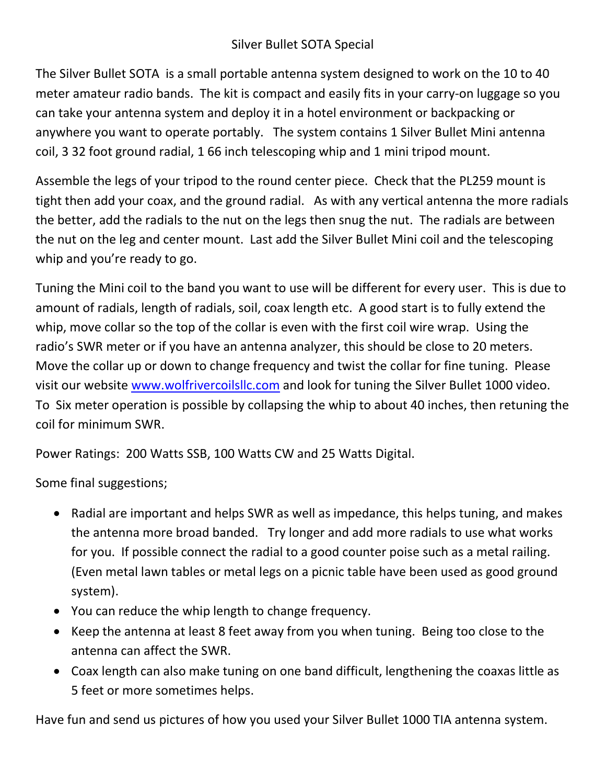## Silver Bullet SOTA Special

The Silver Bullet SOTA is a small portable antenna system designed to work on the 10 to 40 meter amateur radio bands. The kit is compact and easily fits in your carry-on luggage so you can take your antenna system and deploy it in a hotel environment or backpacking or anywhere you want to operate portably. The system contains 1 Silver Bullet Mini antenna coil, 3 32 foot ground radial, 1 66 inch telescoping whip and 1 mini tripod mount.

Assemble the legs of your tripod to the round center piece. Check that the PL259 mount is tight then add your coax, and the ground radial. As with any vertical antenna the more radials the better, add the radials to the nut on the legs then snug the nut. The radials are between the nut on the leg and center mount. Last add the Silver Bullet Mini coil and the telescoping whip and you're ready to go.

Tuning the Mini coil to the band you want to use will be different for every user. This is due to amount of radials, length of radials, soil, coax length etc. A good start is to fully extend the whip, move collar so the top of the collar is even with the first coil wire wrap. Using the radio's SWR meter or if you have an antenna analyzer, this should be close to 20 meters. Move the collar up or down to change frequency and twist the collar for fine tuning. Please visit our website www.wolfrivercoilsllc.com and look for tuning the Silver Bullet 1000 video. To Six meter operation is possible by collapsing the whip to about 40 inches, then retuning the coil for minimum SWR.

Power Ratings: 200 Watts SSB, 100 Watts CW and 25 Watts Digital.

Some final suggestions;

- Radial are important and helps SWR as well as impedance, this helps tuning, and makes the antenna more broad banded. Try longer and add more radials to use what works for you. If possible connect the radial to a good counter poise such as a metal railing. (Even metal lawn tables or metal legs on a picnic table have been used as good ground system).
- You can reduce the whip length to change frequency.
- Keep the antenna at least 8 feet away from you when tuning. Being too close to the antenna can affect the SWR.
- Coax length can also make tuning on one band difficult, lengthening the coaxas little as 5 feet or more sometimes helps.

Have fun and send us pictures of how you used your Silver Bullet 1000 TIA antenna system.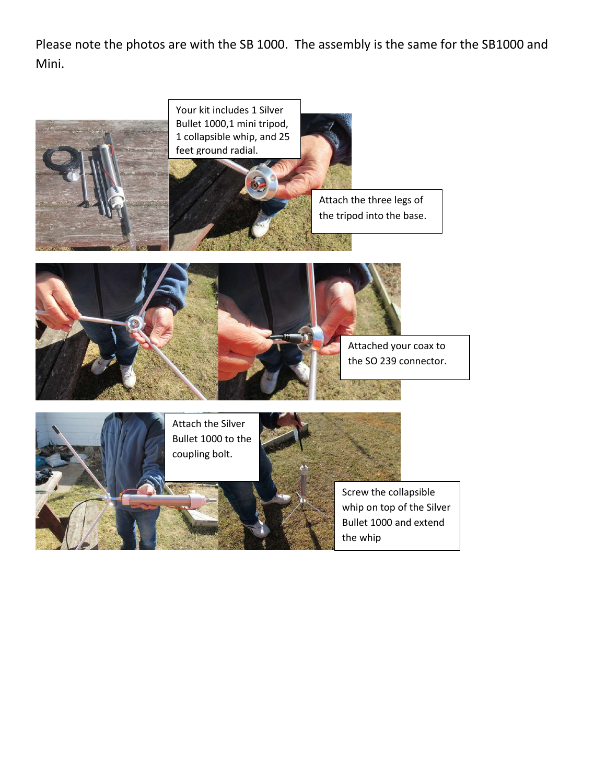Please note the photos are with the SB 1000. The assembly is the same for the SB1000 and Mini.